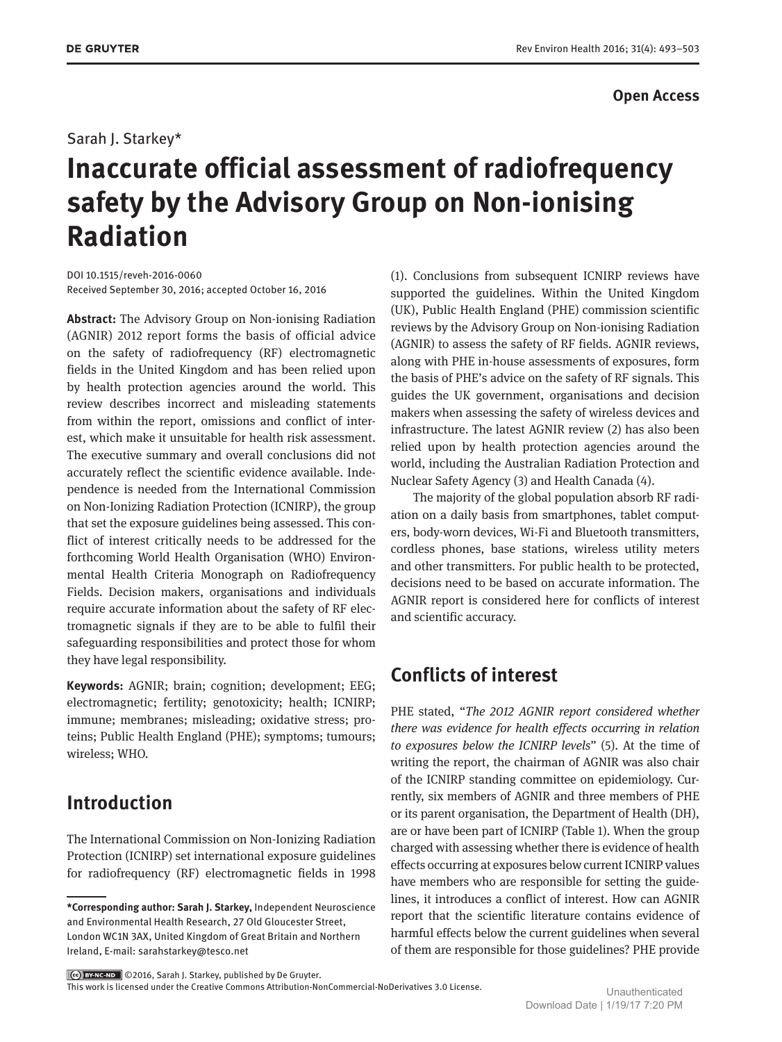### **Open Access**

### Sarah J. Starkey\*

# **Inaccurate official assessment of radiofrequency safety by the Advisory Group on Non-ionising Radiation**

DOI 10.1515/reveh-2016-0060 Received September 30, 2016; accepted October 16, 2016

**Abstract:** The Advisory Group on Non-ionising Radiation (AGNIR) 2012 report forms the basis of official advice on the safety of radiofrequency (RF) electromagnetic fields in the United Kingdom and has been relied upon by health protection agencies around the world. This review describes incorrect and misleading statements from within the report, omissions and conflict of interest, which make it unsuitable for health risk assessment. The executive summary and overall conclusions did not accurately reflect the scientific evidence available. Independence is needed from the International Commission on Non-Ionizing Radiation Protection (ICNIRP), the group that set the exposure guidelines being assessed. This conflict of interest critically needs to be addressed for the forthcoming World Health Organisation (WHO) Environmental Health Criteria Monograph on Radiofrequency Fields. Decision makers, organisations and individuals require accurate information about the safety of RF electromagnetic signals if they are to be able to fulfil their safeguarding responsibilities and protect those for whom they have legal responsibility.

**Keywords:** AGNIR; brain; cognition; development; EEG; electromagnetic; fertility; genotoxicity; health; ICNIRP; immune; membranes; misleading; oxidative stress; proteins; Public Health England (PHE); symptoms; tumours; wireless; WHO.

## **Introduction**

The International Commission on Non-Ionizing Radiation Protection (ICNIRP) set international exposure guidelines for radiofrequency (RF) electromagnetic fields in 1998 (1). Conclusions from subsequent ICNIRP reviews have supported the guidelines. Within the United Kingdom (UK), Public Health England (PHE) commission scientific reviews by the Advisory Group on Non-ionising Radiation (AGNIR) to assess the safety of RF fields. AGNIR reviews, along with PHE in-house assessments of exposures, form the basis of PHE's advice on the safety of RF signals. This guides the UK government, organisations and decision makers when assessing the safety of wireless devices and infrastructure. The latest AGNIR review (2) has also been relied upon by health protection agencies around the world, including the Australian Radiation Protection and Nuclear Safety Agency (3) and Health Canada (4).

The majority of the global population absorb RF radiation on a daily basis from smartphones, tablet computers, body-worn devices, Wi-Fi and Bluetooth transmitters, cordless phones, base stations, wireless utility meters and other transmitters. For public health to be protected, decisions need to be based on accurate information. The AGNIR report is considered here for conflicts of interest and scientific accuracy.

# **Conflicts of interest**

PHE stated, "*The 2012 AGNIR report considered whether there was evidence for health effects occurring in relation to exposures below the ICNIRP levels*" (5). At the time of writing the report, the chairman of AGNIR was also chair of the ICNIRP standing committee on epidemiology. Currently, six members of AGNIR and three members of PHE or its parent organisation, the Department of Health (DH), are or have been part of ICNIRP (Table 1). When the group charged with assessing whether there is evidence of health effects occurring at exposures below current ICNIRP values have members who are responsible for setting the guidelines, it introduces a conflict of interest. How can AGNIR report that the scientific literature contains evidence of harmful effects below the current guidelines when several of them are responsible for those guidelines? PHE provide

©2016, Sarah J. Starkey, published by De Gruyter.

This work is licensed under the Creative Commons Attribution-NonCommercial-NoDerivatives 3.0 License. Unauthenticated

**<sup>\*</sup>Corresponding author: Sarah J. Starkey,** Independent Neuroscience and Environmental Health Research, 27 Old Gloucester Street, London WC1N 3AX, United Kingdom of Great Britain and Northern Ireland, E-mail: [sarahstarkey@tesco.net](mailto:sarahstarkey@tesco.net)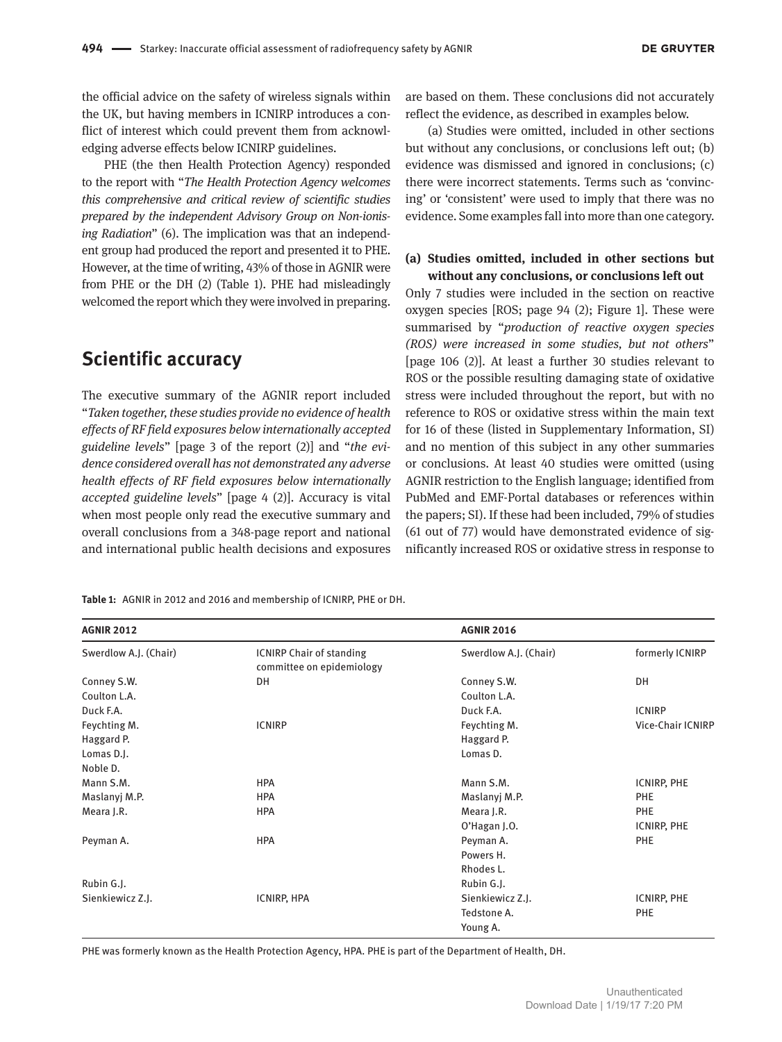the official advice on the safety of wireless signals within the UK, but having members in ICNIRP introduces a conflict of interest which could prevent them from acknowledging adverse effects below ICNIRP guidelines.

PHE (the then Health Protection Agency) responded to the report with "*The Health Protection Agency welcomes this comprehensive and critical review of scientific studies prepared by the independent Advisory Group on Non-ionising Radiation*" (6). The implication was that an independent group had produced the report and presented it to PHE. However, at the time of writing, 43% of those in AGNIR were from PHE or the DH (2) (Table 1). PHE had misleadingly welcomed the report which they were involved in preparing.

### **Scientific accuracy**

The executive summary of the AGNIR report included "*Taken together, these studies provide no evidence of health effects of RF field exposures below internationally accepted guideline levels*" [page 3 of the report (2)] and "*the evidence considered overall has not demonstrated any adverse health effects of RF field exposures below internationally accepted guideline levels*" [page 4 (2)]. Accuracy is vital when most people only read the executive summary and overall conclusions from a 348-page report and national and international public health decisions and exposures

are based on them. These conclusions did not accurately reflect the evidence, as described in examples below.

(a) Studies were omitted, included in other sections but without any conclusions, or conclusions left out; (b) evidence was dismissed and ignored in conclusions; (c) there were incorrect statements. Terms such as 'convincing' or 'consistent' were used to imply that there was no evidence. Some examples fall into more than one category.

#### **(a) Studies omitted, included in other sections but without any conclusions, or conclusions left out**

Only 7 studies were included in the section on reactive oxygen species [ROS; page 94 (2); Figure 1]. These were summarised by "*production of reactive oxygen species (ROS) were increased in some studies, but not others*" [page 106 (2)]. At least a further 30 studies relevant to ROS or the possible resulting damaging state of oxidative stress were included throughout the report, but with no reference to ROS or oxidative stress within the main text for 16 of these (listed in Supplementary Information, SI) and no mention of this subject in any other summaries or conclusions. At least 40 studies were omitted (using AGNIR restriction to the English language; identified from PubMed and EMF-Portal databases or references within the papers; SI). If these had been included, 79% of studies (61 out of 77) would have demonstrated evidence of significantly increased ROS or oxidative stress in response to

**Table 1:** AGNIR in 2012 and 2016 and membership of ICNIRP, PHE or DH.

| <b>AGNIR 2012</b>     |                                                              | <b>AGNIR 2016</b>     |                          |
|-----------------------|--------------------------------------------------------------|-----------------------|--------------------------|
| Swerdlow A.J. (Chair) | <b>ICNIRP Chair of standing</b><br>committee on epidemiology | Swerdlow A.J. (Chair) | formerly ICNIRP          |
| Conney S.W.           | DH                                                           | Conney S.W.           | DH                       |
| Coulton L.A.          |                                                              | Coulton L.A.          |                          |
| Duck F.A.             |                                                              | Duck F.A.             | <b>ICNIRP</b>            |
| Feychting M.          | <b>ICNIRP</b>                                                | Feychting M.          | <b>Vice-Chair ICNIRP</b> |
| Haggard P.            |                                                              | Haggard P.            |                          |
| Lomas D.J.            |                                                              | Lomas D.              |                          |
| Noble D.              |                                                              |                       |                          |
| Mann S.M.             | <b>HPA</b>                                                   | Mann S.M.             | ICNIRP, PHE              |
| Maslanyj M.P.         | <b>HPA</b>                                                   | Maslanyj M.P.         | PHE                      |
| Meara J.R.            | <b>HPA</b>                                                   | Meara J.R.            | PHE                      |
|                       |                                                              | O'Hagan J.O.          | ICNIRP, PHE              |
| Peyman A.             | <b>HPA</b>                                                   | Peyman A.             | PHE                      |
|                       |                                                              | Powers H.             |                          |
|                       |                                                              | Rhodes L.             |                          |
| Rubin G.J.            |                                                              | Rubin G.J.            |                          |
| Sienkiewicz Z.J.      | ICNIRP, HPA                                                  | Sienkiewicz Z.J.      | ICNIRP, PHE              |
|                       |                                                              | Tedstone A.           | <b>PHE</b>               |
|                       |                                                              | Young A.              |                          |

PHE was formerly known as the Health Protection Agency, HPA. PHE is part of the Department of Health, DH.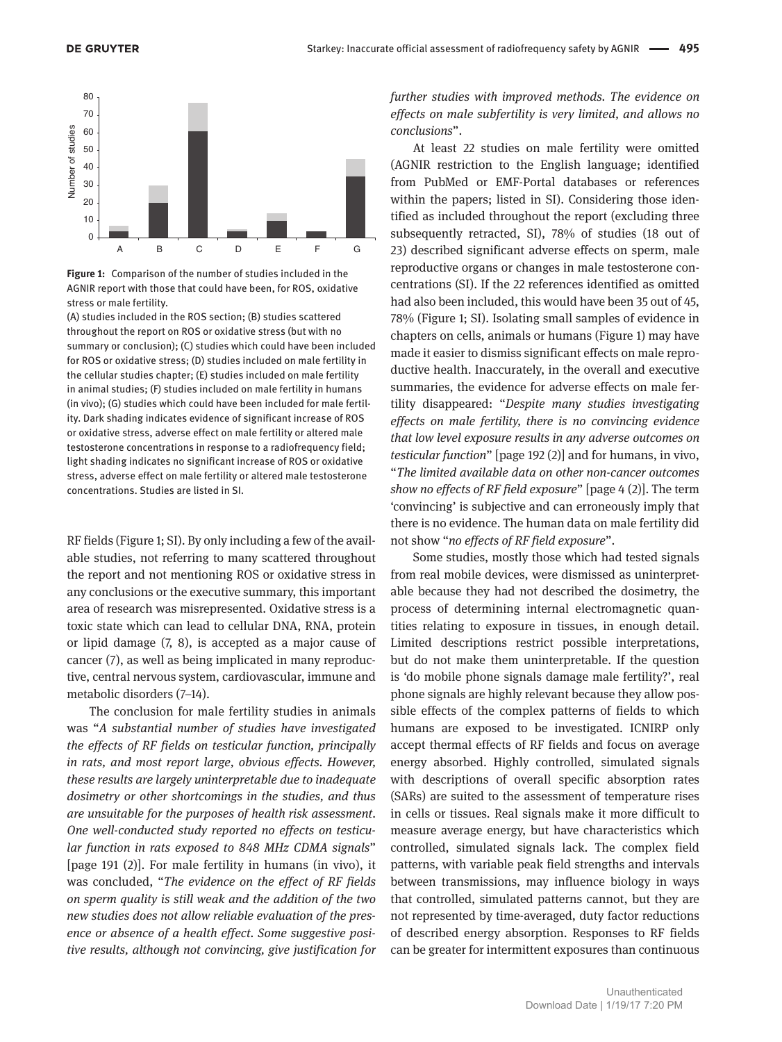



(A) studies included in the ROS section; (B) studies scattered throughout the report on ROS or oxidative stress (but with no summary or conclusion); (C) studies which could have been included for ROS or oxidative stress; (D) studies included on male fertility in the cellular studies chapter; (E) studies included on male fertility in animal studies; (F) studies included on male fertility in humans (in vivo); (G) studies which could have been included for male fertility. Dark shading indicates evidence of significant increase of ROS or oxidative stress, adverse effect on male fertility or altered male testosterone concentrations in response to a radiofrequency field; light shading indicates no significant increase of ROS or oxidative stress, adverse effect on male fertility or altered male testosterone concentrations. Studies are listed in SI.

RF fields (Figure 1; SI). By only including a few of the available studies, not referring to many scattered throughout the report and not mentioning ROS or oxidative stress in any conclusions or the executive summary, this important area of research was misrepresented. Oxidative stress is a toxic state which can lead to cellular DNA, RNA, protein or lipid damage (7, 8), is accepted as a major cause of cancer (7), as well as being implicated in many reproductive, central nervous system, cardiovascular, immune and metabolic disorders (7–14).

The conclusion for male fertility studies in animals was "*A substantial number of studies have investigated the effects of RF fields on testicular function, principally in rats, and most report large, obvious effects. However, these results are largely uninterpretable due to inadequate dosimetry or other shortcomings in the studies, and thus are unsuitable for the purposes of health risk assessment. One well-conducted study reported no effects on testicular function in rats exposed to 848 MHz CDMA signals*" [page 191 (2)]. For male fertility in humans (in vivo), it was concluded, "*The evidence on the effect of RF fields on sperm quality is still weak and the addition of the two new studies does not allow reliable evaluation of the presence or absence of a health effect. Some suggestive positive results, although not convincing, give justification for*  *further studies with improved methods. The evidence on effects on male subfertility is very limited, and allows no conclusions*".

At least 22 studies on male fertility were omitted (AGNIR restriction to the English language; identified from PubMed or EMF-Portal databases or references within the papers; listed in SI). Considering those identified as included throughout the report (excluding three subsequently retracted, SI), 78% of studies (18 out of 23) described significant adverse effects on sperm, male reproductive organs or changes in male testosterone concentrations (SI). If the 22 references identified as omitted had also been included, this would have been 35 out of 45, 78% (Figure 1; SI). Isolating small samples of evidence in chapters on cells, animals or humans (Figure 1) may have made it easier to dismiss significant effects on male reproductive health. Inaccurately, in the overall and executive summaries, the evidence for adverse effects on male fertility disappeared: "*Despite many studies investigating effects on male fertility, there is no convincing evidence that low level exposure results in any adverse outcomes on testicular function*" [page 192 (2)] and for humans, in vivo, "*The limited available data on other non-cancer outcomes show no effects of RF field exposure*" [page 4 (2)]. The term 'convincing' is subjective and can erroneously imply that there is no evidence. The human data on male fertility did not show "*no effects of RF field exposure*".

Some studies, mostly those which had tested signals from real mobile devices, were dismissed as uninterpretable because they had not described the dosimetry, the process of determining internal electromagnetic quantities relating to exposure in tissues, in enough detail. Limited descriptions restrict possible interpretations, but do not make them uninterpretable. If the question is 'do mobile phone signals damage male fertility?', real phone signals are highly relevant because they allow possible effects of the complex patterns of fields to which humans are exposed to be investigated. ICNIRP only accept thermal effects of RF fields and focus on average energy absorbed. Highly controlled, simulated signals with descriptions of overall specific absorption rates (SARs) are suited to the assessment of temperature rises in cells or tissues. Real signals make it more difficult to measure average energy, but have characteristics which controlled, simulated signals lack. The complex field patterns, with variable peak field strengths and intervals between transmissions, may influence biology in ways that controlled, simulated patterns cannot, but they are not represented by time-averaged, duty factor reductions of described energy absorption. Responses to RF fields can be greater for intermittent exposures than continuous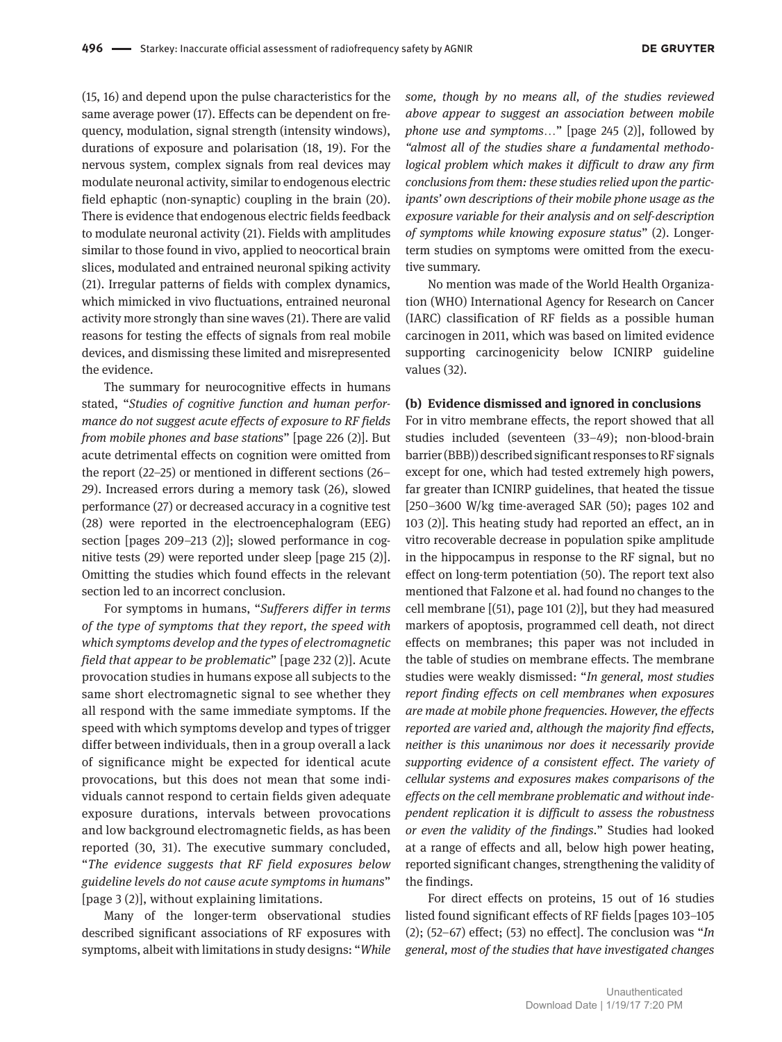(15, 16) and depend upon the pulse characteristics for the same average power (17). Effects can be dependent on frequency, modulation, signal strength (intensity windows), durations of exposure and polarisation (18, 19). For the nervous system, complex signals from real devices may modulate neuronal activity, similar to endogenous electric field ephaptic (non-synaptic) coupling in the brain (20). There is evidence that endogenous electric fields feedback to modulate neuronal activity (21). Fields with amplitudes similar to those found in vivo, applied to neocortical brain slices, modulated and entrained neuronal spiking activity (21). Irregular patterns of fields with complex dynamics, which mimicked in vivo fluctuations, entrained neuronal activity more strongly than sine waves (21). There are valid reasons for testing the effects of signals from real mobile devices, and dismissing these limited and misrepresented the evidence.

The summary for neurocognitive effects in humans stated, "*Studies of cognitive function and human performance do not suggest acute effects of exposure to RF fields from mobile phones and base stations*" [page 226 (2)]. But acute detrimental effects on cognition were omitted from the report (22–25) or mentioned in different sections (26– 29). Increased errors during a memory task (26), slowed performance (27) or decreased accuracy in a cognitive test (28) were reported in the electroencephalogram (EEG) section [pages 209–213 (2)]; slowed performance in cognitive tests (29) were reported under sleep [page 215 (2)]. Omitting the studies which found effects in the relevant section led to an incorrect conclusion.

For symptoms in humans, "*Sufferers differ in terms of the type of symptoms that they report, the speed with which symptoms develop and the types of electromagnetic field that appear to be problematic*" [page 232 (2)]. Acute provocation studies in humans expose all subjects to the same short electromagnetic signal to see whether they all respond with the same immediate symptoms. If the speed with which symptoms develop and types of trigger differ between individuals, then in a group overall a lack of significance might be expected for identical acute provocations, but this does not mean that some individuals cannot respond to certain fields given adequate exposure durations, intervals between provocations and low background electromagnetic fields, as has been reported (30, 31). The executive summary concluded, "*The evidence suggests that RF field exposures below guideline levels do not cause acute symptoms in humans*" [page 3 (2)], without explaining limitations.

Many of the longer-term observational studies described significant associations of RF exposures with symptoms, albeit with limitations in study designs: "*While*  *some, though by no means all, of the studies reviewed above appear to suggest an association between mobile phone use and symptoms*…" [page 245 (2)], followed by *"almost all of the studies share a fundamental methodological problem which makes it difficult to draw any firm conclusions from them: these studies relied upon the participants' own descriptions of their mobile phone usage as the exposure variable for their analysis and on self-description of symptoms while knowing exposure status*" (2). Longerterm studies on symptoms were omitted from the executive summary.

No mention was made of the World Health Organization (WHO) International Agency for Research on Cancer (IARC) classification of RF fields as a possible human carcinogen in 2011, which was based on limited evidence supporting carcinogenicity below ICNIRP guideline values (32).

#### **(b) Evidence dismissed and ignored in conclusions**

For in vitro membrane effects, the report showed that all studies included (seventeen (33–49); non-blood-brain barrier (BBB)) described significant responses to RF signals except for one, which had tested extremely high powers, far greater than ICNIRP guidelines, that heated the tissue [250–3600 W/kg time-averaged SAR (50); pages 102 and 103 (2)]. This heating study had reported an effect, an in vitro recoverable decrease in population spike amplitude in the hippocampus in response to the RF signal, but no effect on long-term potentiation (50). The report text also mentioned that Falzone et al. had found no changes to the cell membrane [(51), page 101 (2)], but they had measured markers of apoptosis, programmed cell death, not direct effects on membranes; this paper was not included in the table of studies on membrane effects. The membrane studies were weakly dismissed: "*In general, most studies report finding effects on cell membranes when exposures are made at mobile phone frequencies. However, the effects reported are varied and, although the majority find effects, neither is this unanimous nor does it necessarily provide supporting evidence of a consistent effect. The variety of cellular systems and exposures makes comparisons of the effects on the cell membrane problematic and without independent replication it is difficult to assess the robustness or even the validity of the findings*." Studies had looked at a range of effects and all, below high power heating, reported significant changes, strengthening the validity of the findings.

For direct effects on proteins, 15 out of 16 studies listed found significant effects of RF fields [pages 103–105 (2); (52–67) effect; (53) no effect]. The conclusion was "*In general, most of the studies that have investigated changes*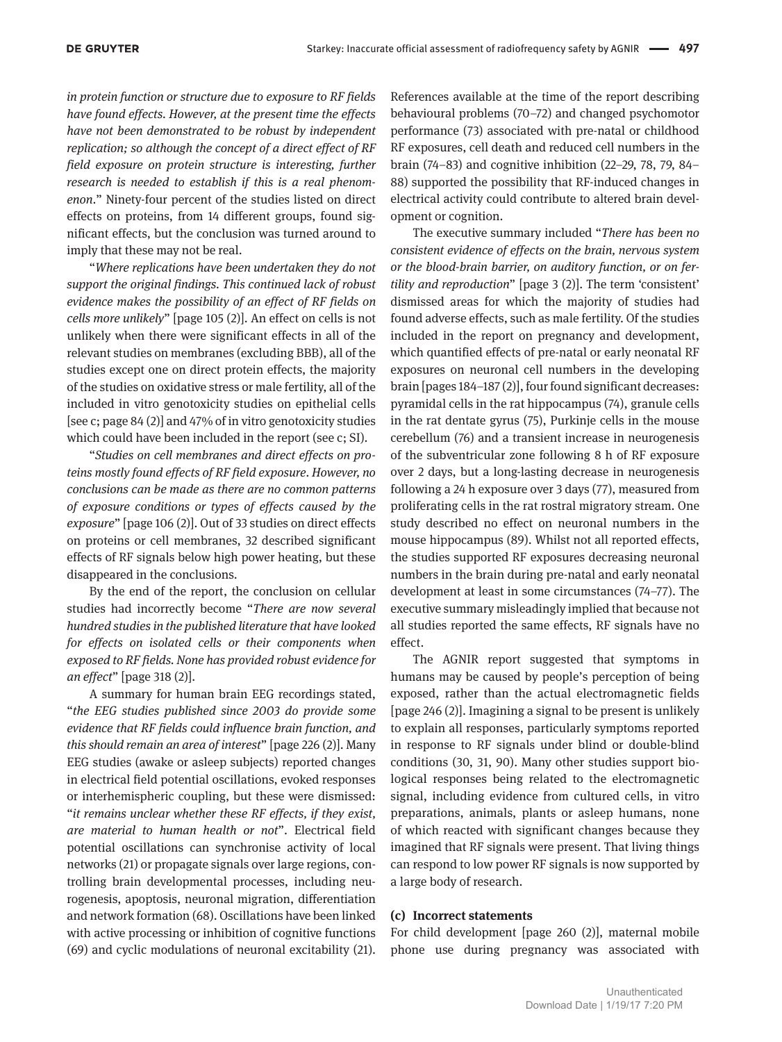*in protein function or structure due to exposure to RF fields have found effects. However, at the present time the effects have not been demonstrated to be robust by independent replication; so although the concept of a direct effect of RF field exposure on protein structure is interesting, further research is needed to establish if this is a real phenomenon*." Ninety-four percent of the studies listed on direct effects on proteins, from 14 different groups, found significant effects, but the conclusion was turned around to imply that these may not be real.

"*Where replications have been undertaken they do not support the original findings. This continued lack of robust evidence makes the possibility of an effect of RF fields on cells more unlikely*" [page 105 (2)]. An effect on cells is not unlikely when there were significant effects in all of the relevant studies on membranes (excluding BBB), all of the studies except one on direct protein effects, the majority of the studies on oxidative stress or male fertility, all of the included in vitro genotoxicity studies on epithelial cells [see c; page 84 (2)] and 47% of in vitro genotoxicity studies which could have been included in the report (see c; SI).

"*Studies on cell membranes and direct effects on proteins mostly found effects of RF field exposure. However, no conclusions can be made as there are no common patterns of exposure conditions or types of effects caused by the exposure*" [page 106 (2)]. Out of 33 studies on direct effects on proteins or cell membranes, 32 described significant effects of RF signals below high power heating, but these disappeared in the conclusions.

By the end of the report, the conclusion on cellular studies had incorrectly become "*There are now several hundred studies in the published literature that have looked for effects on isolated cells or their components when exposed to RF fields. None has provided robust evidence for an effect*" [page 318 (2)].

A summary for human brain EEG recordings stated, "*the EEG studies published since 2003 do provide some evidence that RF fields could influence brain function, and this should remain an area of interest*" [page 226 (2)]. Many EEG studies (awake or asleep subjects) reported changes in electrical field potential oscillations, evoked responses or interhemispheric coupling, but these were dismissed: "*it remains unclear whether these RF effects, if they exist, are material to human health or not*". Electrical field potential oscillations can synchronise activity of local networks (21) or propagate signals over large regions, controlling brain developmental processes, including neurogenesis, apoptosis, neuronal migration, differentiation and network formation (68). Oscillations have been linked with active processing or inhibition of cognitive functions (69) and cyclic modulations of neuronal excitability (21).

References available at the time of the report describing behavioural problems (70–72) and changed psychomotor performance (73) associated with pre-natal or childhood RF exposures, cell death and reduced cell numbers in the brain (74–83) and cognitive inhibition (22–29, 78, 79, 84– 88) supported the possibility that RF-induced changes in electrical activity could contribute to altered brain development or cognition.

The executive summary included "*There has been no consistent evidence of effects on the brain, nervous system or the blood-brain barrier, on auditory function, or on fertility and reproduction*" [page 3 (2)]. The term 'consistent' dismissed areas for which the majority of studies had found adverse effects, such as male fertility. Of the studies included in the report on pregnancy and development, which quantified effects of pre-natal or early neonatal RF exposures on neuronal cell numbers in the developing brain [pages 184–187 (2)], four found significant decreases: pyramidal cells in the rat hippocampus (74), granule cells in the rat dentate gyrus (75), Purkinje cells in the mouse cerebellum (76) and a transient increase in neurogenesis of the subventricular zone following 8 h of RF exposure over 2 days, but a long-lasting decrease in neurogenesis following a 24 h exposure over 3 days (77), measured from proliferating cells in the rat rostral migratory stream. One study described no effect on neuronal numbers in the mouse hippocampus (89). Whilst not all reported effects, the studies supported RF exposures decreasing neuronal numbers in the brain during pre-natal and early neonatal development at least in some circumstances (74–77). The executive summary misleadingly implied that because not all studies reported the same effects, RF signals have no effect.

The AGNIR report suggested that symptoms in humans may be caused by people's perception of being exposed, rather than the actual electromagnetic fields [page 246 (2)]. Imagining a signal to be present is unlikely to explain all responses, particularly symptoms reported in response to RF signals under blind or double-blind conditions (30, 31, 90). Many other studies support biological responses being related to the electromagnetic signal, including evidence from cultured cells, in vitro preparations, animals, plants or asleep humans, none of which reacted with significant changes because they imagined that RF signals were present. That living things can respond to low power RF signals is now supported by a large body of research.

#### **(c) Incorrect statements**

For child development [page 260 (2)], maternal mobile phone use during pregnancy was associated with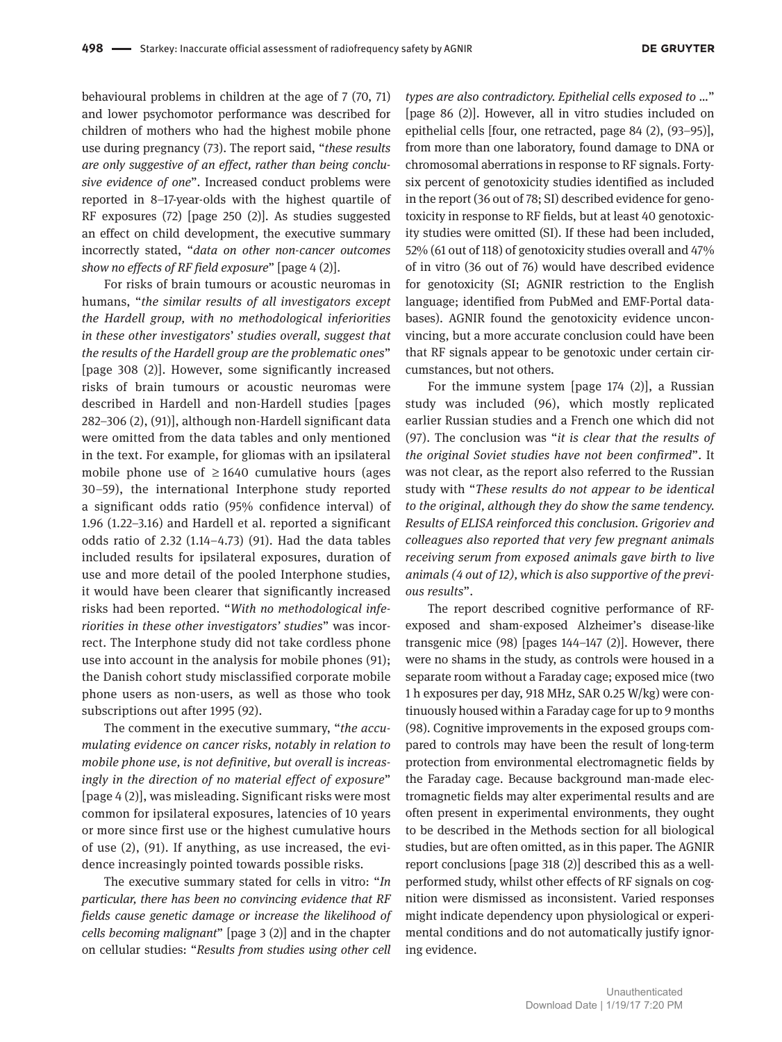behavioural problems in children at the age of 7 (70, 71) and lower psychomotor performance was described for children of mothers who had the highest mobile phone use during pregnancy (73). The report said, "*these results are only suggestive of an effect, rather than being conclusive evidence of one*". Increased conduct problems were reported in 8–17-year-olds with the highest quartile of RF exposures (72) [page 250 (2)]. As studies suggested an effect on child development, the executive summary incorrectly stated, "*data on other non-cancer outcomes show no effects of RF field exposure*" [page 4 (2)].

For risks of brain tumours or acoustic neuromas in humans, "*the similar results of all investigators except the Hardell group, with no methodological inferiorities in these other investigators*' *studies overall, suggest that the results of the Hardell group are the problematic ones*" [page 308 (2)]. However, some significantly increased risks of brain tumours or acoustic neuromas were described in Hardell and non-Hardell studies [pages 282–306 (2), (91)], although non-Hardell significant data were omitted from the data tables and only mentioned in the text. For example, for gliomas with an ipsilateral mobile phone use of  $\geq$  1640 cumulative hours (ages 30–59), the international Interphone study reported a significant odds ratio (95% confidence interval) of 1.96 (1.22–3.16) and Hardell et al. reported a significant odds ratio of 2.32 (1.14–4.73) (91). Had the data tables included results for ipsilateral exposures, duration of use and more detail of the pooled Interphone studies, it would have been clearer that significantly increased risks had been reported. "*With no methodological inferiorities in these other investigators' studies*" was incorrect. The Interphone study did not take cordless phone use into account in the analysis for mobile phones (91); the Danish cohort study misclassified corporate mobile phone users as non-users, as well as those who took subscriptions out after 1995 (92).

The comment in the executive summary, "*the accumulating evidence on cancer risks, notably in relation to mobile phone use, is not definitive, but overall is increasingly in the direction of no material effect of exposure*" [page 4 (2)], was misleading. Significant risks were most common for ipsilateral exposures, latencies of 10 years or more since first use or the highest cumulative hours of use (2), (91). If anything, as use increased, the evidence increasingly pointed towards possible risks.

The executive summary stated for cells in vitro: "*In particular, there has been no convincing evidence that RF fields cause genetic damage or increase the likelihood of cells becoming malignant*" [page 3 (2)] and in the chapter on cellular studies: "*Results from studies using other cell* 

*types are also contradictory. Epithelial cells exposed to …*" [page 86 (2)]. However, all in vitro studies included on epithelial cells [four, one retracted, page 84 (2), (93–95)], from more than one laboratory, found damage to DNA or chromosomal aberrations in response to RF signals. Fortysix percent of genotoxicity studies identified as included in the report (36 out of 78; SI) described evidence for genotoxicity in response to RF fields, but at least 40 genotoxicity studies were omitted (SI). If these had been included, 52% (61 out of 118) of genotoxicity studies overall and 47% of in vitro (36 out of 76) would have described evidence for genotoxicity (SI; AGNIR restriction to the English language; identified from PubMed and EMF-Portal databases). AGNIR found the genotoxicity evidence unconvincing, but a more accurate conclusion could have been that RF signals appear to be genotoxic under certain circumstances, but not others.

For the immune system [page 174 (2)], a Russian study was included (96), which mostly replicated earlier Russian studies and a French one which did not (97). The conclusion was "*it is clear that the results of the original Soviet studies have not been confirmed*". It was not clear, as the report also referred to the Russian study with "*These results do not appear to be identical to the original, although they do show the same tendency. Results of ELISA reinforced this conclusion. Grigoriev and colleagues also reported that very few pregnant animals receiving serum from exposed animals gave birth to live animals (4 out of 12), which is also supportive of the previous results*".

The report described cognitive performance of RFexposed and sham-exposed Alzheimer's disease-like transgenic mice (98) [pages 144–147 (2)]. However, there were no shams in the study, as controls were housed in a separate room without a Faraday cage; exposed mice (two 1 h exposures per day, 918 MHz, SAR 0.25 W/kg) were continuously housed within a Faraday cage for up to 9 months (98). Cognitive improvements in the exposed groups compared to controls may have been the result of long-term protection from environmental electromagnetic fields by the Faraday cage. Because background man-made electromagnetic fields may alter experimental results and are often present in experimental environments, they ought to be described in the Methods section for all biological studies, but are often omitted, as in this paper. The AGNIR report conclusions [page 318 (2)] described this as a wellperformed study, whilst other effects of RF signals on cognition were dismissed as inconsistent. Varied responses might indicate dependency upon physiological or experimental conditions and do not automatically justify ignoring evidence.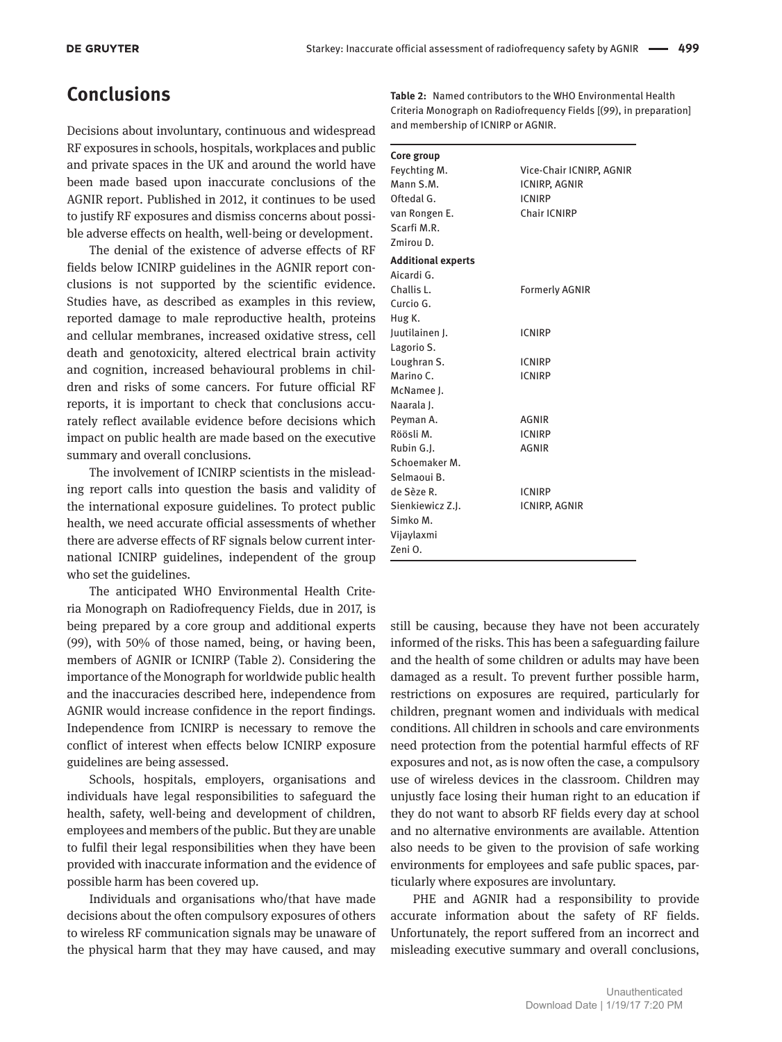### **Conclusions**

Decisions about involuntary, continuous and widespread RF exposures in schools, hospitals, workplaces and public and private spaces in the UK and around the world have been made based upon inaccurate conclusions of the AGNIR report. Published in 2012, it continues to be used to justify RF exposures and dismiss concerns about possible adverse effects on health, well-being or development.

The denial of the existence of adverse effects of RF fields below ICNIRP guidelines in the AGNIR report conclusions is not supported by the scientific evidence. Studies have, as described as examples in this review, reported damage to male reproductive health, proteins and cellular membranes, increased oxidative stress, cell death and genotoxicity, altered electrical brain activity and cognition, increased behavioural problems in children and risks of some cancers. For future official RF reports, it is important to check that conclusions accurately reflect available evidence before decisions which impact on public health are made based on the executive summary and overall conclusions.

The involvement of ICNIRP scientists in the misleading report calls into question the basis and validity of the international exposure guidelines. To protect public health, we need accurate official assessments of whether there are adverse effects of RF signals below current international ICNIRP guidelines, independent of the group who set the guidelines.

The anticipated WHO Environmental Health Criteria Monograph on Radiofrequency Fields, due in 2017, is being prepared by a core group and additional experts (99), with 50% of those named, being, or having been, members of AGNIR or ICNIRP (Table 2). Considering the importance of the Monograph for worldwide public health and the inaccuracies described here, independence from AGNIR would increase confidence in the report findings. Independence from ICNIRP is necessary to remove the conflict of interest when effects below ICNIRP exposure guidelines are being assessed.

Schools, hospitals, employers, organisations and individuals have legal responsibilities to safeguard the health, safety, well-being and development of children, employees and members of the public. But they are unable to fulfil their legal responsibilities when they have been provided with inaccurate information and the evidence of possible harm has been covered up.

Individuals and organisations who/that have made decisions about the often compulsory exposures of others to wireless RF communication signals may be unaware of the physical harm that they may have caused, and may

**Table 2:** Named contributors to the WHO Environmental Health Criteria Monograph on Radiofrequency Fields [(99), in preparation] and membership of ICNIRP or AGNIR.

| Core group                |                          |  |
|---------------------------|--------------------------|--|
| Feychting M.              | Vice-Chair ICNIRP, AGNIR |  |
| Mann S.M.                 | <b>ICNIRP, AGNIR</b>     |  |
| Oftedal G.                | <b>ICNIRP</b>            |  |
| van Rongen E.             | Chair ICNIRP             |  |
| Scarfi M.R.               |                          |  |
| 7mirou D.                 |                          |  |
| <b>Additional experts</b> |                          |  |
| Aicardi G.                |                          |  |
| Challis L.                | <b>Formerly AGNIR</b>    |  |
| Curcio G.                 |                          |  |
| Hug K.                    |                          |  |
| Juutilainen J.            | <b>ICNIRP</b>            |  |
| Lagorio S.                |                          |  |
| Loughran S.               | <b>ICNIRP</b>            |  |
| Marino C.                 | <b>ICNIRP</b>            |  |
| McNamee I.                |                          |  |
| Naarala I.                |                          |  |
| Peyman A.                 | <b>AGNIR</b>             |  |
| Röösli M.                 | <b>ICNIRP</b>            |  |
| Rubin G.J.                | <b>AGNIR</b>             |  |
| Schoemaker M.             |                          |  |
| Selmaoui B.               |                          |  |
| de Sèze R.                | <b>ICNIRP</b>            |  |
| Sienkiewicz Z.J.          | ICNIRP, AGNIR            |  |
| Simko M.                  |                          |  |
| Vijaylaxmi                |                          |  |
| Zeni O.                   |                          |  |

still be causing, because they have not been accurately informed of the risks. This has been a safeguarding failure and the health of some children or adults may have been damaged as a result. To prevent further possible harm, restrictions on exposures are required, particularly for children, pregnant women and individuals with medical conditions. All children in schools and care environments need protection from the potential harmful effects of RF exposures and not, as is now often the case, a compulsory use of wireless devices in the classroom. Children may unjustly face losing their human right to an education if they do not want to absorb RF fields every day at school and no alternative environments are available. Attention also needs to be given to the provision of safe working environments for employees and safe public spaces, particularly where exposures are involuntary.

PHE and AGNIR had a responsibility to provide accurate information about the safety of RF fields. Unfortunately, the report suffered from an incorrect and misleading executive summary and overall conclusions,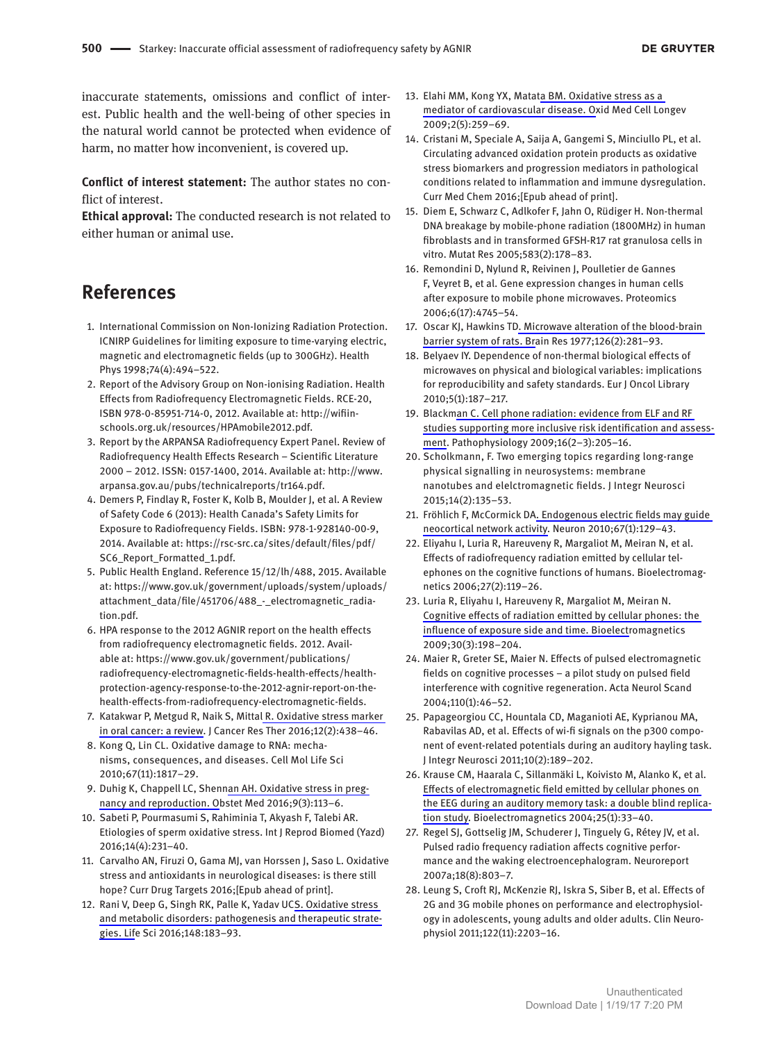inaccurate statements, omissions and conflict of interest. Public health and the well-being of other species in the natural world cannot be protected when evidence of harm, no matter how inconvenient, is covered up.

**Conflict of interest statement:** The author states no conflict of interest.

**Ethical approval:** The conducted research is not related to either human or animal use.

## **References**

- 1. International Commission on Non-Ionizing Radiation Protection. ICNIRP Guidelines for limiting exposure to time-varying electric, magnetic and electromagnetic fields (up to 300GHz). Health Phys 1998;74(4):494–522.
- 2. Report of the Advisory Group on Non-ionising Radiation. Health Effects from Radiofrequency Electromagnetic Fields. RCE-20, ISBN 978-0-85951-714-0, 2012. Available at: [http://wifiin](http://wifiinschools.org.uk/resources/HPAmobile2012.pdf)[schools.org.uk/resources/HPAmobile2012.pdf](http://wifiinschools.org.uk/resources/HPAmobile2012.pdf).
- 3. Report by the ARPANSA Radiofrequency Expert Panel. Review of Radiofrequency Health Effects Research – Scientific Literature 2000 – 2012. ISSN: 0157-1400, 2014. Available at: [http://www.](http://www.arpansa.gov.au/pubs/technicalreports/tr164.pdf) [arpansa.gov.au/pubs/technicalreports/tr164.pdf](http://www.arpansa.gov.au/pubs/technicalreports/tr164.pdf).
- 4. Demers P, Findlay R, Foster K, Kolb B, Moulder J, et al. A Review of Safety Code 6 (2013): Health Canada's Safety Limits for Exposure to Radiofrequency Fields. ISBN: 978-1-928140-00-9, 2014. Available at: [https://rsc-src.ca/sites/default/files/pdf/](https://rsc-src.ca/sites/default/files/pdf/SC6_Report_Formatted_1.pdf) [SC6\\_Report\\_Formatted\\_1.pdf](https://rsc-src.ca/sites/default/files/pdf/SC6_Report_Formatted_1.pdf).
- 5. Public Health England. Reference 15/12/lh/488, 2015. Available at: [https://www.gov.uk/government/uploads/system/uploads/](https://www.gov.uk/government/uploads/system/uploads/attachment_data/file/451706/488_-_electromagnetic_radiation.pdf) [attachment\\_data/file/451706/488\\_-\\_electromagnetic\\_radia](https://www.gov.uk/government/uploads/system/uploads/attachment_data/file/451706/488_-_electromagnetic_radiation.pdf)[tion.pdf](https://www.gov.uk/government/uploads/system/uploads/attachment_data/file/451706/488_-_electromagnetic_radiation.pdf).
- 6. HPA response to the 2012 AGNIR report on the health effects from radiofrequency electromagnetic fields. 2012. Available at: [https://www.gov.uk/government/publications/](https://www.gov.uk/government/publications/radiofrequency-electromagnetic-fields-health-effects/health-protection-agency-response-to-the-2012-agnir-report-on-the-health-effects-from-radiofrequency-electromagnetic-fields) [radiofrequency-electromagnetic-fields-health-effects/health](https://www.gov.uk/government/publications/radiofrequency-electromagnetic-fields-health-effects/health-protection-agency-response-to-the-2012-agnir-report-on-the-health-effects-from-radiofrequency-electromagnetic-fields)[protection-agency-response-to-the-2012-agnir-report-on-the](https://www.gov.uk/government/publications/radiofrequency-electromagnetic-fields-health-effects/health-protection-agency-response-to-the-2012-agnir-report-on-the-health-effects-from-radiofrequency-electromagnetic-fields)[health-effects-from-radiofrequency-electromagnetic-fields.](https://www.gov.uk/government/publications/radiofrequency-electromagnetic-fields-health-effects/health-protection-agency-response-to-the-2012-agnir-report-on-the-health-effects-from-radiofrequency-electromagnetic-fields)
- 7. Katakwar P, Metgud R, Naik S, Mittal R. Oxidative stress marker in oral cancer: a review. J Cancer Res Ther 2016;12(2):438–46.
- 8. Kong Q, Lin CL. Oxidative damage to RNA: mechanisms, consequences, and diseases. Cell Mol Life Sci 2010;67(11):1817–29.
- 9. Duhig K, Chappell LC, Shennan AH. Oxidative stress in pregnancy and reproduction. Obstet Med 2016;9(3):113–6.
- 10. Sabeti P, Pourmasumi S, Rahiminia T, Akyash F, Talebi AR. Etiologies of sperm oxidative stress. Int J Reprod Biomed (Yazd) 2016;14(4):231–40.
- 11. Carvalho AN, Firuzi O, Gama MJ, van Horssen J, Saso L. Oxidative stress and antioxidants in neurological diseases: is there still hope? Curr Drug Targets 2016;[Epub ahead of print].
- 12. Rani V, Deep G, Singh RK, Palle K, Yadav UCS. Oxidative stress and metabolic disorders: pathogenesis and therapeutic strategies. Life Sci 2016;148:183–93.
- 13. Elahi MM, Kong YX, Matata BM. Oxidative stress as a mediator of cardiovascular disease. Oxid Med Cell Longev 2009;2(5):259–69.
- 14. Cristani M, Speciale A, Saija A, Gangemi S, Minciullo PL, et al. Circulating advanced oxidation protein products as oxidative stress biomarkers and progression mediators in pathological conditions related to inflammation and immune dysregulation. Curr Med Chem 2016;[Epub ahead of print].
- 15. Diem E, Schwarz C, Adlkofer F, Jahn O, Rüdiger H. Non-thermal DNA breakage by mobile-phone radiation (1800MHz) in human fibroblasts and in transformed GFSH-R17 rat granulosa cells in vitro. Mutat Res 2005;583(2):178–83.
- 16. Remondini D, Nylund R, Reivinen J, Poulletier de Gannes F, Veyret B, et al. Gene expression changes in human cells after exposure to mobile phone microwaves. Proteomics 2006;6(17):4745–54.
- 17. Oscar KJ, Hawkins TD. Microwave alteration of the blood-brain barrier system of rats. Brain Res 1977;126(2):281–93.
- 18. Belyaev IY. Dependence of non-thermal biological effects of microwaves on physical and biological variables: implications for reproducibility and safety standards. Eur J Oncol Library 2010;5(1):187–217.
- 19. Blackman C. Cell phone radiation: evidence from ELF and RF studies supporting more inclusive risk identification and assessment. Pathophysiology 2009;16(2–3):205–16.
- 20. Scholkmann, F. Two emerging topics regarding long-range physical signalling in neurosystems: membrane nanotubes and elelctromagnetic fields. J Integr Neurosci 2015;14(2):135–53.
- 21. Fröhlich F, McCormick DA. Endogenous electric fields may guide neocortical network activity. Neuron 2010;67(1):129–43.
- 22. Eliyahu I, Luria R, Hareuveny R, Margaliot M, Meiran N, et al. Effects of radiofrequency radiation emitted by cellular telephones on the cognitive functions of humans. Bioelectromagnetics 2006;27(2):119–26.
- 23. Luria R, Eliyahu I, Hareuveny R, Margaliot M, Meiran N. Cognitive effects of radiation emitted by cellular phones: the influence of exposure side and time. Bioelectromagnetics 2009;30(3):198–204.
- 24. Maier R, Greter SE, Maier N. Effects of pulsed electromagnetic fields on cognitive processes – a pilot study on pulsed field interference with cognitive regeneration. Acta Neurol Scand 2004;110(1):46–52.
- 25. Papageorgiou CC, Hountala CD, Maganioti AE, Kyprianou MA, Rabavilas AD, et al. Effects of wi-fi signals on the p300 component of event-related potentials during an auditory hayling task. J Integr Neurosci 2011;10(2):189–202.
- 26. Krause CM, Haarala C, Sillanmäki L, Koivisto M, Alanko K, et al. Effects of electromagnetic field emitted by cellular phones on the EEG during an auditory memory task: a double blind replication study. Bioelectromagnetics 2004;25(1):33–40.
- 27. Regel SJ, Gottselig JM, Schuderer J, Tinguely G, Rétey JV, et al. Pulsed radio frequency radiation affects cognitive performance and the waking electroencephalogram. Neuroreport 2007a;18(8):803–7.
- 28. Leung S, Croft RJ, McKenzie RJ, Iskra S, Siber B, et al. Effects of 2G and 3G mobile phones on performance and electrophysiology in adolescents, young adults and older adults. Clin Neurophysiol 2011;122(11):2203–16.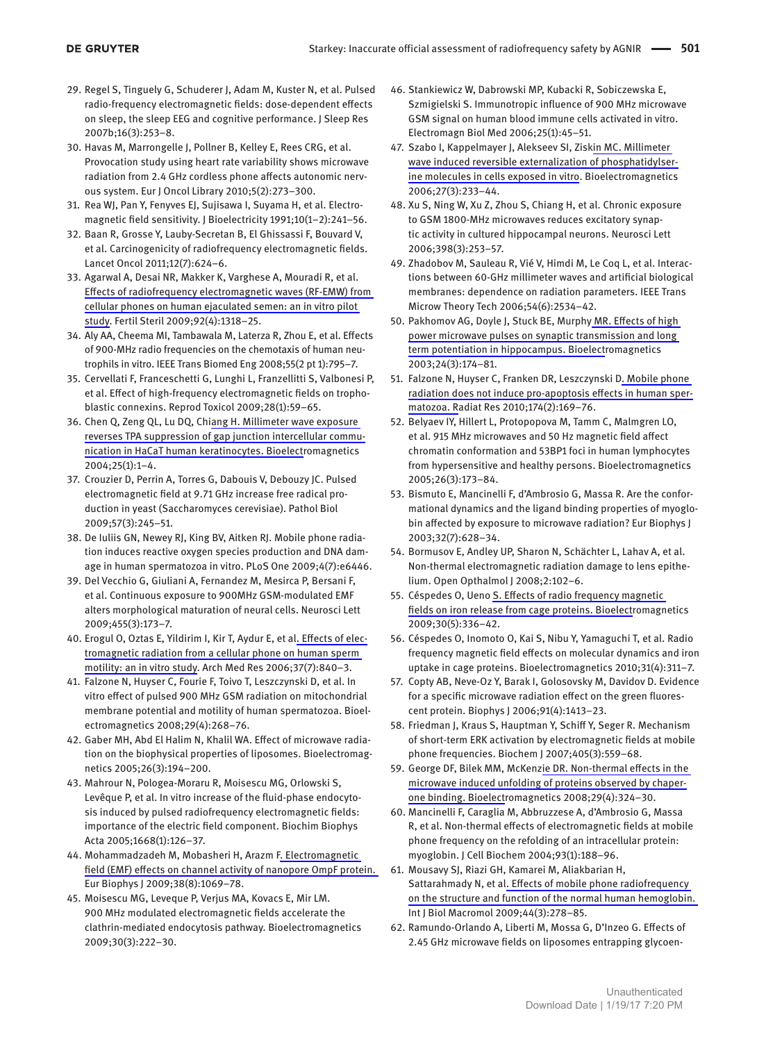- 29. Regel S, Tinguely G, Schuderer J, Adam M, Kuster N, et al. Pulsed radio-frequency electromagnetic fields: dose-dependent effects on sleep, the sleep EEG and cognitive performance. J Sleep Res 2007b;16(3):253–8.
- 30. Havas M, Marrongelle J, Pollner B, Kelley E, Rees CRG, et al. Provocation study using heart rate variability shows microwave radiation from 2.4 GHz cordless phone affects autonomic nervous system. Eur J Oncol Library 2010;5(2):273–300.
- 31. Rea WJ, Pan Y, Fenyves EJ, Sujisawa I, Suyama H, et al. Electromagnetic field sensitivity. J Bioelectricity 1991;10(1–2):241–56.
- 32. Baan R, Grosse Y, Lauby-Secretan B, El Ghissassi F, Bouvard V, et al. Carcinogenicity of radiofrequency electromagnetic fields. Lancet Oncol 2011;12(7):624–6.
- 33. Agarwal A, Desai NR, Makker K, Varghese A, Mouradi R, et al. Effects of radiofrequency electromagnetic waves (RF-EMW) from cellular phones on human ejaculated semen: an in vitro pilot study. Fertil Steril 2009;92(4):1318–25.
- 34. Aly AA, Cheema MI, Tambawala M, Laterza R, Zhou E, et al. Effects of 900-MHz radio frequencies on the chemotaxis of human neutrophils in vitro. IEEE Trans Biomed Eng 2008;55(2 pt 1):795–7.
- 35. Cervellati F, Franceschetti G, Lunghi L, Franzellitti S, Valbonesi P, et al. Effect of high-frequency electromagnetic fields on trophoblastic connexins. Reprod Toxicol 2009;28(1):59–65.
- 36. Chen Q, Zeng QL, Lu DQ, Chiang H. Millimeter wave exposure reverses TPA suppression of gap junction intercellular communication in HaCaT human keratinocytes. Bioelectromagnetics 2004;25(1):1–4.
- 37. Crouzier D, Perrin A, Torres G, Dabouis V, Debouzy JC. Pulsed electromagnetic field at 9.71 GHz increase free radical production in yeast (Saccharomyces cerevisiae). Pathol Biol 2009;57(3):245–51.
- 38. De Iuliis GN, Newey RJ, King BV, Aitken RJ. Mobile phone radiation induces reactive oxygen species production and DNA damage in human spermatozoa in vitro. PLoS One 2009;4(7):e6446.
- 39. Del Vecchio G, Giuliani A, Fernandez M, Mesirca P, Bersani F, et al. Continuous exposure to 900MHz GSM-modulated EMF alters morphological maturation of neural cells. Neurosci Lett 2009;455(3):173–7.
- 40. Erogul O, Oztas E, Yildirim I, Kir T, Aydur E, et al. Effects of electromagnetic radiation from a cellular phone on human sperm motility: an in vitro study. Arch Med Res 2006;37(7):840–3.
- 41. Falzone N, Huyser C, Fourie F, Toivo T, Leszczynski D, et al. In vitro effect of pulsed 900 MHz GSM radiation on mitochondrial membrane potential and motility of human spermatozoa. Bioelectromagnetics 2008;29(4):268–76.
- 42. Gaber MH, Abd El Halim N, Khalil WA. Effect of microwave radiation on the biophysical properties of liposomes. Bioelectromagnetics 2005;26(3):194–200.
- 43. Mahrour N, Pologea-Moraru R, Moisescu MG, Orlowski S, Levêque P, et al. In vitro increase of the fluid-phase endocytosis induced by pulsed radiofrequency electromagnetic fields: importance of the electric field component. Biochim Biophys Acta 2005;1668(1):126–37.
- 44. Mohammadzadeh M, Mobasheri H, Arazm F. Electromagnetic field (EMF) effects on channel activity of nanopore OmpF protein. Eur Biophys J 2009;38(8):1069–78.
- 45. Moisescu MG, Leveque P, Verjus MA, Kovacs E, Mir LM. 900 MHz modulated electromagnetic fields accelerate the clathrin-mediated endocytosis pathway. Bioelectromagnetics 2009;30(3):222–30.
- 46. Stankiewicz W, Dabrowski MP, Kubacki R, Sobiczewska E, Szmigielski S. Immunotropic influence of 900 MHz microwave GSM signal on human blood immune cells activated in vitro. Electromagn Biol Med 2006;25(1):45–51.
- 47. Szabo I, Kappelmayer J, Alekseev SI, Ziskin MC. Millimeter wave induced reversible externalization of phosphatidylserine molecules in cells exposed in vitro. Bioelectromagnetics 2006;27(3):233–44.
- 48. Xu S, Ning W, Xu Z, Zhou S, Chiang H, et al. Chronic exposure to GSM 1800-MHz microwaves reduces excitatory synaptic activity in cultured hippocampal neurons. Neurosci Lett 2006;398(3):253–57.
- 49. Zhadobov M, Sauleau R, Vié V, Himdi M, Le Coq L, et al. Interactions between 60-GHz millimeter waves and artificial biological membranes: dependence on radiation parameters. IEEE Trans Microw Theory Tech 2006;54(6):2534–42.
- 50. Pakhomov AG, Doyle J, Stuck BE, Murphy MR. Effects of high power microwave pulses on synaptic transmission and long term potentiation in hippocampus. Bioelectromagnetics 2003;24(3):174–81.
- 51. Falzone N, Huyser C, Franken DR, Leszczynski D. Mobile phone radiation does not induce pro-apoptosis effects in human spermatozoa. Radiat Res 2010;174(2):169–76.
- 52. Belyaev IY, Hillert L, Protopopova M, Tamm C, Malmgren LO, et al. 915 MHz microwaves and 50 Hz magnetic field affect chromatin conformation and 53BP1 foci in human lymphocytes from hypersensitive and healthy persons. Bioelectromagnetics 2005;26(3):173–84.
- 53. Bismuto E, Mancinelli F, d'Ambrosio G, Massa R. Are the conformational dynamics and the ligand binding properties of myoglobin affected by exposure to microwave radiation? Eur Biophys J 2003;32(7):628–34.
- 54. Bormusov E, Andley UP, Sharon N, Schächter L, Lahav A, et al. Non-thermal electromagnetic radiation damage to lens epithelium. Open Opthalmol J 2008;2:102–6.
- 55. Céspedes O, Ueno S. Effects of radio frequency magnetic fields on iron release from cage proteins. Bioelectromagnetics 2009;30(5):336–42.
- 56. Céspedes O, Inomoto O, Kai S, Nibu Y, Yamaguchi T, et al. Radio frequency magnetic field effects on molecular dynamics and iron uptake in cage proteins. Bioelectromagnetics 2010;31(4):311–7.
- 57. Copty AB, Neve-Oz Y, Barak I, Golosovsky M, Davidov D. Evidence for a specific microwave radiation effect on the green fluorescent protein. Biophys J 2006;91(4):1413–23.
- 58. Friedman J, Kraus S, Hauptman Y, Schiff Y, Seger R. Mechanism of short-term ERK activation by electromagnetic fields at mobile phone frequencies. Biochem J 2007;405(3):559–68.
- 59. George DF, Bilek MM, McKenzie DR. Non-thermal effects in the microwave induced unfolding of proteins observed by chaperone binding. Bioelectromagnetics 2008;29(4):324–30.
- 60. Mancinelli F, Caraglia M, Abbruzzese A, d'Ambrosio G, Massa R, et al. Non-thermal effects of electromagnetic fields at mobile phone frequency on the refolding of an intracellular protein: myoglobin. J Cell Biochem 2004;93(1):188–96.
- 61. Mousavy SJ, Riazi GH, Kamarei M, Aliakbarian H, Sattarahmady N, et al. Effects of mobile phone radiofrequency on the structure and function of the normal human hemoglobin. Int J Biol Macromol 2009;44(3):278–85.
- 62. Ramundo-Orlando A, Liberti M, Mossa G, D'Inzeo G. Effects of 2.45 GHz microwave fields on liposomes entrapping glycoen-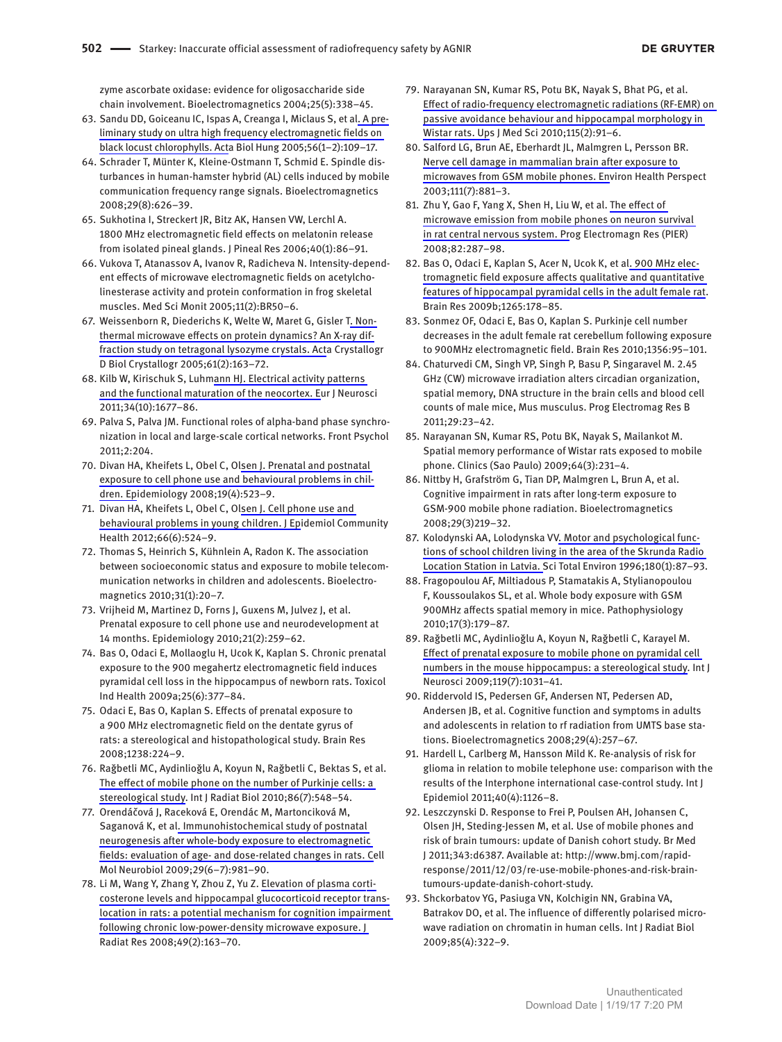zyme ascorbate oxidase: evidence for oligosaccharide side chain involvement. Bioelectromagnetics 2004;25(5):338–45.

- 63. Sandu DD, Goiceanu IC, Ispas A, Creanga I, Miclaus S, et al. A preliminary study on ultra high frequency electromagnetic fields on black locust chlorophylls. Acta Biol Hung 2005;56(1–2):109–17.
- 64. Schrader T, Münter K, Kleine-Ostmann T, Schmid E. Spindle disturbances in human-hamster hybrid (AL) cells induced by mobile communication frequency range signals. Bioelectromagnetics 2008;29(8):626–39.
- 65. Sukhotina I, Streckert JR, Bitz AK, Hansen VW, Lerchl A. 1800 MHz electromagnetic field effects on melatonin release from isolated pineal glands. J Pineal Res 2006;40(1):86–91.
- 66. Vukova T, Atanassov A, Ivanov R, Radicheva N. Intensity-dependent effects of microwave electromagnetic fields on acetylcholinesterase activity and protein conformation in frog skeletal muscles. Med Sci Monit 2005;11(2):BR50–6.
- 67. Weissenborn R, Diederichs K, Welte W, Maret G, Gisler T. Nonthermal microwave effects on protein dynamics? An X-ray diffraction study on tetragonal lysozyme crystals. Acta Crystallogr D Biol Crystallogr 2005;61(2):163–72.
- 68. Kilb W, Kirischuk S, Luhmann HJ. Electrical activity patterns and the functional maturation of the neocortex. Eur J Neurosci 2011;34(10):1677–86.
- 69. Palva S, Palva JM. Functional roles of alpha-band phase synchronization in local and large-scale cortical networks. Front Psychol 2011;2:204.
- 70. Divan HA, Kheifets L, Obel C, Olsen J. Prenatal and postnatal exposure to cell phone use and behavioural problems in children. Epidemiology 2008;19(4):523–9.
- 71. Divan HA, Kheifets L, Obel C, Olsen J. Cell phone use and behavioural problems in young children. J Epidemiol Community Health 2012;66(6):524–9.
- 72. Thomas S, Heinrich S, Kühnlein A, Radon K. The association between socioeconomic status and exposure to mobile telecommunication networks in children and adolescents. Bioelectromagnetics 2010;31(1):20–7.
- 73. Vrijheid M, Martinez D, Forns J, Guxens M, Julvez J, et al. Prenatal exposure to cell phone use and neurodevelopment at 14 months. Epidemiology 2010;21(2):259–62.
- 74. Bas O, Odaci E, Mollaoglu H, Ucok K, Kaplan S. Chronic prenatal exposure to the 900 megahertz electromagnetic field induces pyramidal cell loss in the hippocampus of newborn rats. Toxicol Ind Health 2009a;25(6):377–84.
- 75. Odaci E, Bas O, Kaplan S. Effects of prenatal exposure to a 900 MHz electromagnetic field on the dentate gyrus of rats: a stereological and histopathological study. Brain Res 2008;1238:224–9.
- 76. Rağbetli MC, Aydinlioğlu A, Koyun N, Rağbetli C, Bektas S, et al. The effect of mobile phone on the number of Purkinje cells: a stereological study. Int J Radiat Biol 2010;86(7):548–54.
- 77. Orendáčová J, Raceková E, Orendác M, Martonciková M, Saganová K, et al. Immunohistochemical study of postnatal neurogenesis after whole-body exposure to electromagnetic fields: evaluation of age- and dose-related changes in rats. Cell Mol Neurobiol 2009;29(6–7):981–90.
- 78. Li M, Wang Y, Zhang Y, Zhou Z, Yu Z. Elevation of plasma corticosterone levels and hippocampal glucocorticoid receptor translocation in rats: a potential mechanism for cognition impairment following chronic low-power-density microwave exposure. J Radiat Res 2008;49(2):163–70.
- 79. Narayanan SN, Kumar RS, Potu BK, Nayak S, Bhat PG, et al. Effect of radio-frequency electromagnetic radiations (RF-EMR) on passive avoidance behaviour and hippocampal morphology in Wistar rats. Ups J Med Sci 2010;115(2):91–6.
- 80. Salford LG, Brun AE, Eberhardt JL, Malmgren L, Persson BR. Nerve cell damage in mammalian brain after exposure to microwaves from GSM mobile phones. Environ Health Perspect 2003;111(7):881–3.
- 81. Zhu Y, Gao F, Yang X, Shen H, Liu W, et al. The effect of microwave emission from mobile phones on neuron survival in rat central nervous system. Prog Electromagn Res (PIER) 2008;82:287–98.
- 82. Bas O, Odaci E, Kaplan S, Acer N, Ucok K, et al. 900 MHz electromagnetic field exposure affects qualitative and quantitative features of hippocampal pyramidal cells in the adult female rat. Brain Res 2009b;1265:178–85.
- 83. Sonmez OF, Odaci E, Bas O, Kaplan S. Purkinje cell number decreases in the adult female rat cerebellum following exposure to 900MHz electromagnetic field. Brain Res 2010;1356:95–101.
- 84. Chaturvedi CM, Singh VP, Singh P, Basu P, Singaravel M. 2.45 GHz (CW) microwave irradiation alters circadian organization, spatial memory, DNA structure in the brain cells and blood cell counts of male mice, Mus musculus. Prog Electromag Res B 2011;29:23–42.
- 85. Narayanan SN, Kumar RS, Potu BK, Nayak S, Mailankot M. Spatial memory performance of Wistar rats exposed to mobile phone. Clinics (Sao Paulo) 2009;64(3):231–4.
- 86. Nittby H, Grafström G, Tian DP, Malmgren L, Brun A, et al. Cognitive impairment in rats after long-term exposure to GSM-900 mobile phone radiation. Bioelectromagnetics 2008;29(3)219–32.
- 87. Kolodynski AA, Lolodynska VV. Motor and psychological functions of school children living in the area of the Skrunda Radio Location Station in Latvia. Sci Total Environ 1996;180(1):87–93.
- 88. Fragopoulou AF, Miltiadous P, Stamatakis A, Stylianopoulou F, Koussoulakos SL, et al. Whole body exposure with GSM 900MHz affects spatial memory in mice. Pathophysiology 2010;17(3):179–87.
- 89. Rağbetli MC, Aydinlioğlu A, Koyun N, Rağbetli C, Karayel M. Effect of prenatal exposure to mobile phone on pyramidal cell numbers in the mouse hippocampus: a stereological study. Int J Neurosci 2009;119(7):1031–41.
- 90. Riddervold IS, Pedersen GF, Andersen NT, Pedersen AD, Andersen JB, et al. Cognitive function and symptoms in adults and adolescents in relation to rf radiation from UMTS base stations. Bioelectromagnetics 2008;29(4):257–67.
- 91. Hardell L, Carlberg M, Hansson Mild K. Re-analysis of risk for glioma in relation to mobile telephone use: comparison with the results of the Interphone international case-control study. Int J Epidemiol 2011;40(4):1126–8.
- 92. Leszczynski D. Response to Frei P, Poulsen AH, Johansen C, Olsen JH, Steding-Jessen M, et al. Use of mobile phones and risk of brain tumours: update of Danish cohort study. Br Med J 2011;343:d6387. Available at: [http://www.bmj.com/rapid](http://www.bmj.com/rapid-response/2011/12/03/re-use-mobile-phones-and-risk-brain-tumours-update-danish-cohort-study)[response/2011/12/03/re-use-mobile-phones-and-risk-brain](http://www.bmj.com/rapid-response/2011/12/03/re-use-mobile-phones-and-risk-brain-tumours-update-danish-cohort-study)[tumours-update-danish-cohort-study.](http://www.bmj.com/rapid-response/2011/12/03/re-use-mobile-phones-and-risk-brain-tumours-update-danish-cohort-study)
- 93. Shckorbatov YG, Pasiuga VN, Kolchigin NN, Grabina VA, Batrakov DO, et al. The influence of differently polarised microwave radiation on chromatin in human cells. Int J Radiat Biol 2009;85(4):322–9.